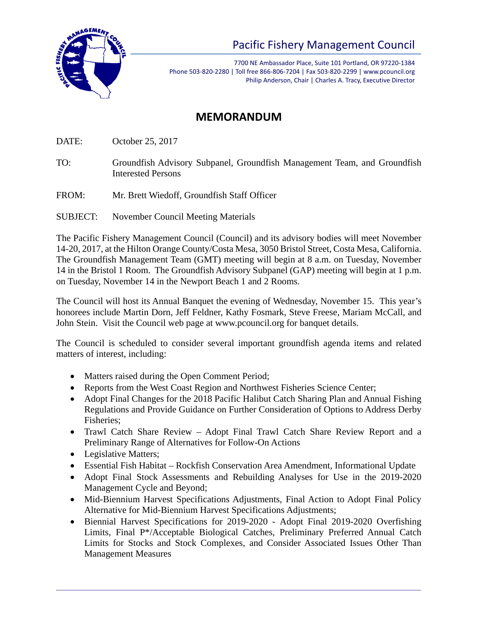

## Pacific Fishery Management Council

7700 NE Ambassador Place, Suite 101 Portland, OR 97220-1384 Phone 503-820-2280 | Toll free 866-806-7204 | Fax 503-820-2299 | www.pcouncil.org Philip Anderson, Chair | Charles A. Tracy, Executive Director

## **MEMORANDUM**

DATE: October 25, 2017

- TO: Groundfish Advisory Subpanel, Groundfish Management Team, and Groundfish Interested Persons
- FROM: Mr. Brett Wiedoff, Groundfish Staff Officer
- SUBJECT: November Council Meeting Materials

The Pacific Fishery Management Council (Council) and its advisory bodies will meet November 14-20, 2017, at the Hilton Orange County/Costa Mesa, 3050 Bristol Street, Costa Mesa, California. The Groundfish Management Team (GMT) meeting will begin at 8 a.m. on Tuesday, November 14 in the Bristol 1 Room. The Groundfish Advisory Subpanel (GAP) meeting will begin at 1 p.m. on Tuesday, November 14 in the Newport Beach 1 and 2 Rooms.

The Council will host its Annual Banquet the evening of Wednesday, November 15. This year's honorees include Martin Dorn, Jeff Feldner, Kathy Fosmark, Steve Freese, Mariam McCall, and John Stein. Visit the Council web page at www.pcouncil.org for banquet details.

The Council is scheduled to consider several important groundfish agenda items and related matters of interest, including:

- Matters raised during the Open Comment Period;
- Reports from the West Coast Region and Northwest Fisheries Science Center;
- Adopt Final Changes for the 2018 Pacific Halibut Catch Sharing Plan and Annual Fishing Regulations and Provide Guidance on Further Consideration of Options to Address Derby Fisheries;
- Trawl Catch Share Review Adopt Final Trawl Catch Share Review Report and a Preliminary Range of Alternatives for Follow-On Actions
- Legislative Matters;
- Essential Fish Habitat Rockfish Conservation Area Amendment, Informational Update
- Adopt Final Stock Assessments and Rebuilding Analyses for Use in the 2019-2020 Management Cycle and Beyond;
- Mid-Biennium Harvest Specifications Adjustments, Final Action to Adopt Final Policy Alternative for Mid-Biennium Harvest Specifications Adjustments;
- Biennial Harvest Specifications for 2019-2020 Adopt Final 2019-2020 Overfishing Limits, Final P\*/Acceptable Biological Catches, Preliminary Preferred Annual Catch Limits for Stocks and Stock Complexes, and Consider Associated Issues Other Than Management Measures